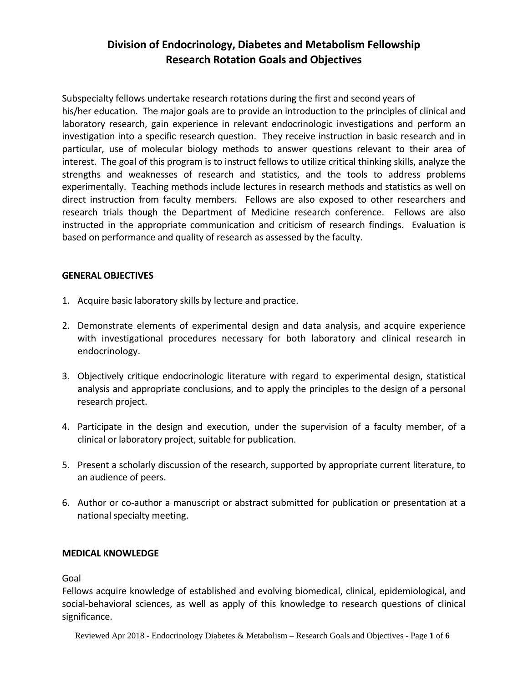# **Division of Endocrinology, Diabetes and Metabolism Fellowship Research Rotation Goals and Objectives**

Subspecialty fellows undertake research rotations during the first and second years of his/her education. The major goals are to provide an introduction to the principles of clinical and laboratory research, gain experience in relevant endocrinologic investigations and perform an investigation into a specific research question. They receive instruction in basic research and in particular, use of molecular biology methods to answer questions relevant to their area of interest. The goal of this program is to instruct fellows to utilize critical thinking skills, analyze the strengths and weaknesses of research and statistics, and the tools to address problems experimentally. Teaching methods include lectures in research methods and statistics as well on direct instruction from faculty members. Fellows are also exposed to other researchers and research trials though the Department of Medicine research conference. Fellows are also instructed in the appropriate communication and criticism of research findings. Evaluation is based on performance and quality of research as assessed by the faculty.

## **GENERAL OBJECTIVES**

- 1. Acquire basic laboratory skills by lecture and practice.
- 2. Demonstrate elements of experimental design and data analysis, and acquire experience with investigational procedures necessary for both laboratory and clinical research in endocrinology.
- 3. Objectively critique endocrinologic literature with regard to experimental design, statistical analysis and appropriate conclusions, and to apply the principles to the design of a personal research project.
- 4. Participate in the design and execution, under the supervision of a faculty member, of a clinical or laboratory project, suitable for publication.
- 5. Present a scholarly discussion of the research, supported by appropriate current literature, to an audience of peers.
- 6. Author or co-author a manuscript or abstract submitted for publication or presentation at a national specialty meeting.

## **MEDICAL KNOWLEDGE**

Goal

Fellows acquire knowledge of established and evolving biomedical, clinical, epidemiological, and social‐behavioral sciences, as well as apply of this knowledge to research questions of clinical significance.

Reviewed Apr 2018 - Endocrinology Diabetes & Metabolism – Research Goals and Objectives - Page **1** of **6**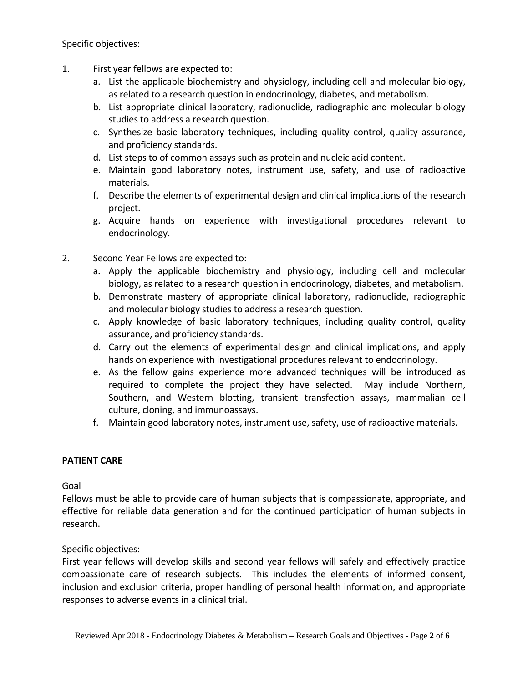Specific objectives:

- 1. First year fellows are expected to:
	- a. List the applicable biochemistry and physiology, including cell and molecular biology, as related to a research question in endocrinology, diabetes, and metabolism.
	- b. List appropriate clinical laboratory, radionuclide, radiographic and molecular biology studies to address a research question.
	- c. Synthesize basic laboratory techniques, including quality control, quality assurance, and proficiency standards.
	- d. List steps to of common assays such as protein and nucleic acid content.
	- e. Maintain good laboratory notes, instrument use, safety, and use of radioactive materials.
	- f. Describe the elements of experimental design and clinical implications of the research project.
	- g. Acquire hands on experience with investigational procedures relevant to endocrinology.
- 2. Second Year Fellows are expected to:
	- a. Apply the applicable biochemistry and physiology, including cell and molecular biology, as related to a research question in endocrinology, diabetes, and metabolism.
	- b. Demonstrate mastery of appropriate clinical laboratory, radionuclide, radiographic and molecular biology studies to address a research question.
	- c. Apply knowledge of basic laboratory techniques, including quality control, quality assurance, and proficiency standards.
	- d. Carry out the elements of experimental design and clinical implications, and apply hands on experience with investigational procedures relevant to endocrinology.
	- e. As the fellow gains experience more advanced techniques will be introduced as required to complete the project they have selected. May include Northern, Southern, and Western blotting, transient transfection assays, mammalian cell culture, cloning, and immunoassays.
	- f. Maintain good laboratory notes, instrument use, safety, use of radioactive materials.

## **PATIENT CARE**

Goal

Fellows must be able to provide care of human subjects that is compassionate, appropriate, and effective for reliable data generation and for the continued participation of human subjects in research.

Specific objectives:

First year fellows will develop skills and second year fellows will safely and effectively practice compassionate care of research subjects. This includes the elements of informed consent, inclusion and exclusion criteria, proper handling of personal health information, and appropriate responses to adverse events in a clinical trial.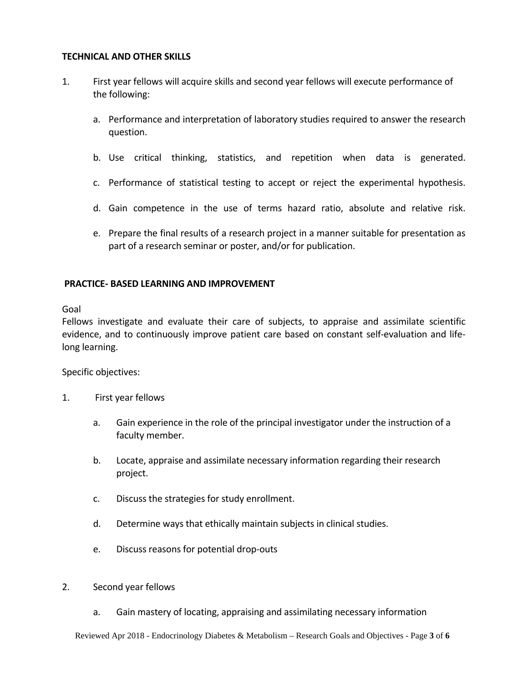#### **TECHNICAL AND OTHER SKILLS**

- 1. First year fellows will acquire skills and second year fellows will execute performance of the following:
	- a. Performance and interpretation of laboratory studies required to answer the research question.
	- b. Use critical thinking, statistics, and repetition when data is generated.
	- c. Performance of statistical testing to accept or reject the experimental hypothesis.
	- d. Gain competence in the use of terms hazard ratio, absolute and relative risk.
	- e. Prepare the final results of a research project in a manner suitable for presentation as part of a research seminar or poster, and/or for publication.

#### **PRACTICE‐ BASED LEARNING AND IMPROVEMENT**

Goal

Fellows investigate and evaluate their care of subjects, to appraise and assimilate scientific evidence, and to continuously improve patient care based on constant self‐evaluation and life‐ long learning.

Specific objectives:

- 1. First year fellows
	- a. Gain experience in the role of the principal investigator under the instruction of a faculty member.
	- b. Locate, appraise and assimilate necessary information regarding their research project.
	- c. Discuss the strategies for study enrollment.
	- d. Determine ways that ethically maintain subjects in clinical studies.
	- e. Discuss reasons for potential drop‐outs
- 2. Second year fellows
	- a. Gain mastery of locating, appraising and assimilating necessary information

Reviewed Apr 2018 - Endocrinology Diabetes & Metabolism – Research Goals and Objectives - Page **3** of **6**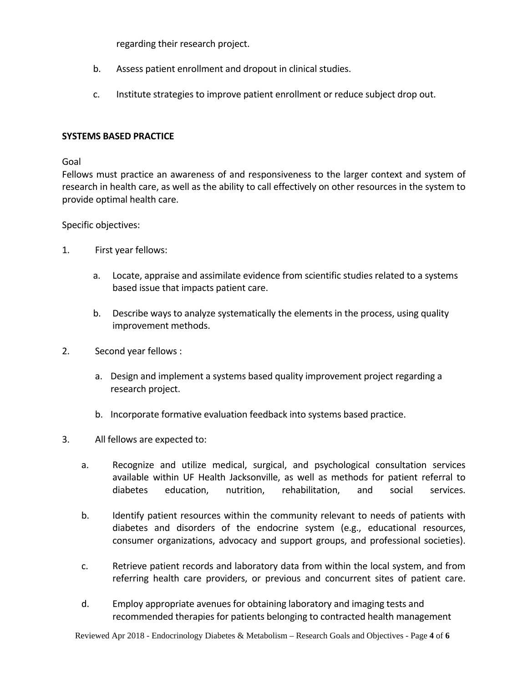regarding their research project.

- b. Assess patient enrollment and dropout in clinical studies.
- c. Institute strategies to improve patient enrollment or reduce subject drop out.

#### **SYSTEMS BASED PRACTICE**

#### Goal

Fellows must practice an awareness of and responsiveness to the larger context and system of research in health care, as well as the ability to call effectively on other resources in the system to provide optimal health care.

#### Specific objectives:

- 1. First year fellows:
	- a. Locate, appraise and assimilate evidence from scientific studies related to a systems based issue that impacts patient care.
	- b. Describe ways to analyze systematically the elements in the process, using quality improvement methods.
- 2. Second year fellows :
	- a. Design and implement a systems based quality improvement project regarding a research project.
	- b. Incorporate formative evaluation feedback into systems based practice.
- 3. All fellows are expected to:
	- a. Recognize and utilize medical, surgical, and psychological consultation services available within UF Health Jacksonville, as well as methods for patient referral to diabetes education, nutrition, rehabilitation, and social services.
	- b. Identify patient resources within the community relevant to needs of patients with diabetes and disorders of the endocrine system (e.g., educational resources, consumer organizations, advocacy and support groups, and professional societies).
	- c. Retrieve patient records and laboratory data from within the local system, and from referring health care providers, or previous and concurrent sites of patient care.
	- d. Employ appropriate avenues for obtaining laboratory and imaging tests and recommended therapies for patients belonging to contracted health management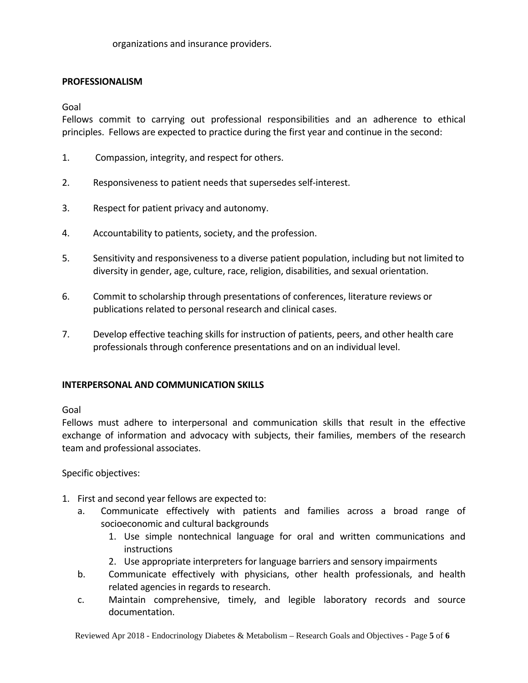#### **PROFESSIONALISM**

Goal

Fellows commit to carrying out professional responsibilities and an adherence to ethical principles. Fellows are expected to practice during the first year and continue in the second:

- 1. Compassion, integrity, and respect for others.
- 2. Responsiveness to patient needs that supersedes self‐interest.
- 3. Respect for patient privacy and autonomy.
- 4. Accountability to patients, society, and the profession.
- 5. Sensitivity and responsiveness to a diverse patient population, including but not limited to diversity in gender, age, culture, race, religion, disabilities, and sexual orientation.
- 6. Commit to scholarship through presentations of conferences, literature reviews or publications related to personal research and clinical cases.
- 7. Develop effective teaching skills for instruction of patients, peers, and other health care professionals through conference presentations and on an individual level.

## **INTERPERSONAL AND COMMUNICATION SKILLS**

Goal

Fellows must adhere to interpersonal and communication skills that result in the effective exchange of information and advocacy with subjects, their families, members of the research team and professional associates.

Specific objectives:

- 1. First and second year fellows are expected to:
	- a. Communicate effectively with patients and families across a broad range of socioeconomic and cultural backgrounds
		- 1. Use simple nontechnical language for oral and written communications and **instructions**
		- 2. Use appropriate interpreters for language barriers and sensory impairments
	- b. Communicate effectively with physicians, other health professionals, and health related agencies in regards to research.
	- c. Maintain comprehensive, timely, and legible laboratory records and source documentation.